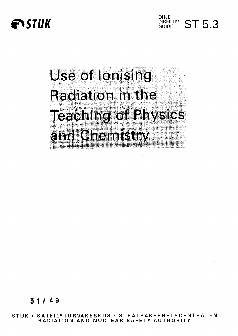

**OHJE DIREKTIV ST 5.3** 

# Use of Ionising Radiation in the **Teaching of Physics** and Chemistry •\*. \*8 frij. )\*«,\*>\*•& 3\* ?\*«-"-t-»k.-««-B-\*»s.Hso'r.

**3 1 / 49**

**STUK • SATEILYTURVAKESKUS • STRALSAKERHETSCENTRALEN RADIATION AND NUCLEAR SAFETY AUTHORITY**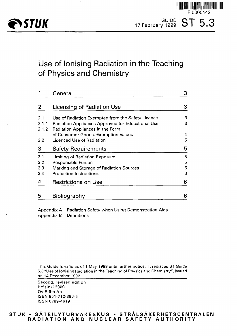

# Use of Ionising Radiation in the Teaching of Physics and Chemistry

|                | General                                                                               | 3 |
|----------------|---------------------------------------------------------------------------------------|---|
|                | <b>Licensing of Radiation Use</b>                                                     |   |
| 2.1            | Use of Radiation Exempted from the Safety Licence                                     | 3 |
| 2.1.1<br>2.1.2 | Radiation Appliances Approved for Educational Use<br>Radiation Appliances in the Form | 3 |
|                | of Consumer Goods. Exemption Values                                                   | 4 |
| 2.2            | Licenced Use of Radiation                                                             | 5 |
| 3              | <b>Safety Requirements</b>                                                            |   |
| 3,1            | Limiting of Radiation Exposure                                                        | 5 |
| 3.2            | Responsible Person                                                                    |   |
| 3.3            | Marking and Storage of Radiation Sources                                              | 5 |
| 3.4            | <b>Protection Instructions</b>                                                        | 6 |
| 4              | <b>Restrictions on Use</b>                                                            | 6 |
| 5              | Bibliography                                                                          | 6 |

Appendix A Radiation Safety when Using Demonstration Aids Appendix B Definitions

This Guide is valid as of 1 May 1999 until further notice. It replaces ST Guide 5.3 "Use of Ionising Radiation in the Teaching of Physics and Chemistry", issued on 14 December 1992.

Second, revised edition Helsinki 2000 Oy Edita Ab ISBN 951-712-396-5 ISSN 0789-4619

#### **STUK • SATEILYTURVAKESKUS • STRALSAKERHETSCENTRALEN RADIATIO N AN D NUCLEA R SAFETY AUTHORIT Y**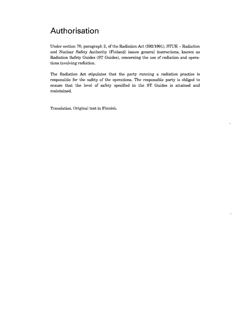# Authorisation

Under section 70, paragraph 2, of the Radiation Act  $(592/1991)$ , STUK  $-$  Radiation and Nuclear Safety Authority (Finland) issues general instructions, known as Radiation Safety Guides (ST Guides), concerning the use of radiation and operations involving radiation.

The Radiation Act stipulates that the party running a radiation practice is responsible for the safety of the operations. The responsible party is obliged to ensure that the level of safety specified in the ST Guides is attained and maintained.

Translation. Original text in Finnish.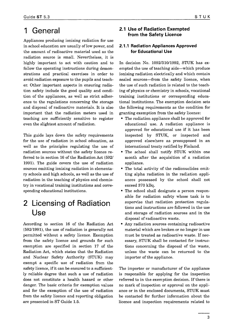# 1 General

Appliances producing ionising radiation for use in school education are usually of low power, and the amount of radioactive material used as the radiation source is small. Nevertheless, it is highly important to act with caution and to follow the operating instructions during demonstrations and practical exercises in order to avoid radiation exposure to the pupils and teacher. Other important aspects in ensuring radiation safety include the good quality and condition of the appliances, as well as strict adherence to the regulations concerning the storage and disposal of radioactive materials. It is also important that the radiation meters used in teaching are sufficiently sensitive to register even the slightest amount of radiation.

This guide lays down the safety requirements for the use of radiation in school education, as well as the principles regulating the use of radiation sources without the safety licence referred to in section 16 of the Radiation Act (592/ 1991). The guide covers the use of radiation sources emitting ionising radiation in elementary schools and high schools, as well as the use of radiation in the teaching of physics and chemistry in vocational training institutions and corresponding educational institutions.

# 2 Licensing of Radiation Use

According to section 16 of the Radiation Act (592/1991), the use of radiation is generally not permitted without a safety licence. Exemption from the safety licence and grounds for such exemption are specified in section 17 of the Radiation Act, which states that the Radiation and Nuclear Safety Authority (STUK) may exempt a specific use of radiation from the safety licence, if it can be ensured to a sufficiently reliable degree that such a use of radiation does not constitute a health hazard or other danger. The basic criteria for exemption values and for the exemption of the use of radiation from the safety licence and reporting obligation are presented in ST Guide 1.5.

### **2.1 Use of Radiation Exempted from the Safety Licence**

#### **2.1.1 Radiation Appliances Approved for Educational Use**

In decision No. 1092/310/1992, STUK has exempted the use of teaching aids—which produce ionising radiation electrically and which contain sealed sources—from the safety licence, when the use of such radiation is related to the teaching of physics or chemistry in schools, vocational training institutions or corresponding educational institutions. The exemption decision sets the following requirements as the condition for granting exemption from the safety licence:

- The radiation appliance shall be approved for educational use. A radiation appliance is approved for educational use if it has been inspected by STUK, or inspected and approved elsewhere as presupposed in an international treaty ratified by Finland.
- The school shall notify STUK within one month after the acquisition of a radiation appliance.
- The total activity of the radionuclides emitting alpha radiation in the radiation appliances possessed by the school shall not exceed 370 kBq.
- The school shall designate a person responsible for radiation safety whose task is to supervise that radiation protection regulations and instructions are followed in the use and storage of radiation sources and in the disposal of radioactive waste.
- Any radiation sources containing radioactive material which are broken or no longer in use must be treated as radioactive waste. If necessary, STUK shall be contacted for instructions concerning the disposal of the waste, unless the waste can be returned to the importer of the appliance.

The importer or manufacturer of the appliance is responsible for applying for the inspection referred to in the exemption decision. If there is no mark of inspection or approval on the appliance or in the enclosed documents, STUK must be contacted for further information about the licence and inspection requirements related to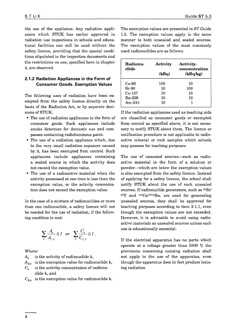the use of the appliance. Any radiation appliances which STUK has earlier approved in radiation use inspections in schools and educational facilities can still be used without the safety licence, providing that the special conditions stipulated in the inspection documents and the restrictions on use, specified here in chapter 4, are observed.

#### 2.1.2 Radiation Appliances in the Form of Consumer Goods. Exemption Values

The following uses of radiation have been exempted from the safety licence directly on the basis of the Radiation Act, or by separate decisions of STUK:

- The use of radiation appliances in the form of consumer goods. Such appliances include smoke detectors for domestic use and compasses containing radioluminous paint.
- The use of a radiation appliance which, due to the very small radiation exposure caused by it, has been exempted from control. Such appliances include appliances containing a sealed source in which the activity does not exceed the exemption value.
- The use of a radioactive material when the activity possessed at one time is less than the exemption value, or the activity concentration does not exceed the exemption value.

In the case of a mixture of radionuclides or more than one radionuclide, a safety licence will not be needed for the use of radiation, if the following condition is met:

$$
\sum_{k} \frac{A_k}{A_{E,k}} \leq 1 \quad or \quad \sum_{k} \frac{C_k}{C_{E,k}} \leq 1.
$$

Where:

- $A_{k}$ is the activity of radionuclide k,
- $A_{\kappa k}$  is the exemption value for radionuclide k,
- $C_k$ is the activity concentration of radionuclide k, and
- $C_{E,k}$  is the exemption value for radionuclide k.

The exemption values are presented in ST Guide 1.5. The exemption values apply in the same manner to both unsealed and sealed sources. The exemption values of the most commonly used radionuclides are as follows:

| Radionu-<br>clide | Activity | Activity-<br>concentration |
|-------------------|----------|----------------------------|
|                   | (kBq)    | (kBq/kg)                   |
| Co-60             | 100      | 10                         |
| $Sr-90$           | 10       | 100                        |
| $Cs-137$          | 10       | 10                         |
| Ra-226            | 10       | 10                         |
| Am-241            | 10       |                            |

If the radiation appliances used as teaching aids are classified as consumer goods or exempted from control as specified above, it is not necessary to notify STUK about them. The licence or notification procedure is not applicable to radioactive mineral or rock samples which schools may possess for teaching purposes.

The use of unsealed sources—such as radioactive material in the form of a solution or powder—which are below the exemption values is also exempted from the safety licence. Instead of applying for a safety licence, the school shall notify STUK about the use of such unsealed sources. If radionuclide generators, such as <sup>90</sup>Sr/ <sup>90</sup>Y and <sup>137</sup>Cs/137mBa, are used for generating unsealed sources, they shall be approved for teaching purposes according to item 2.1.1, even though the exemption values are not exceeded. However, it is advisable to avoid using radioactive materials as unsealed sources unless such use is educationally essential.

If the electrical apparatus has no parts which operate at a voltage greater than 5000 V, the provisions concerning ionising radiation shall not apply to the use of the apparatus, even though the apparatus does in fact produce ionising radiation.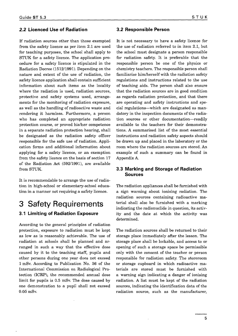#### 2.2 Licenced Use of Radiation

If radiation sources other than those exempted from the safety licence as per item 2.1 are used for teaching purposes, the school shall apply to STUK for a safety licence. The application procedure for a safety licence is stipulated in the Radiation Decree (1512/1991). Depending on the nature and extent of the use of radiation, the safety licence application shall contain sufficient information about such items as the locality where the radiation is used, radiation sources, protective and safety systems used, arrangements for the monitoring of radiation exposure, as well as the handling of radioactive waste and rendering it harmless. Furthermore, a person who has completed an appropriate radiation protection course, or proved his/her competence in a separate radiation protection hearing, shall be designated as the radiation safety officer responsible for the safe use of radiation. Application forms and additional information about applying for a safety licence, or an exemption from the safety licence on the basis of section 17 of the Radiation Act (592/1991), are available from STUK.

It is recommendable to arrange the use of radiation in high-school or elementary-school education in a manner not requiring a safety licence.

### 3 Safety Requirements

### 3.1 Limiting of Radiation Exposure

According to the general principles of radiation protection, exposure to radiation must be kept as low as is reasonably achievable. The use of radiation at schools shall be planned and arranged in such a way that the effective dose caused by it to the teaching staff, pupils and other persons during one year does not exceed 1 mSv. According to Publication No. 36 of the International Commission on Radiological Protection (ICRP), the recommended annual dose limit for pupils is 0.5 mSv. The dose caused by one demonstration to a pupil shall not exceed 0.05 mSv.

#### 3.2 Responsible Person

It is not necessary to have a safety licence for the use of radiation referred to in item 2.1, but the school must designate a person responsible for radiation safety. It is preferable that the responsible person be one of the physics or chemistry teachers. The responsible person shall familiarise him/herself with the radiation safety regulations and instructions related to the use of teaching aids. The person shall also ensure that the radiation sources are in good condition as regards radiation protection, and that there are operating and safety instructions and special regulations—which are designated as mandatory in the inspection documents of the radiation sources or other documentation—readily available to the teachers for their demonstrations. A summarised list of the most essential instructions and radiation safety aspects should be drawn up and placed in the laboratory or the room where the radiation sources are stored. An example of such a summary can be found in Appendix A.

#### 3.3 Marking and Storage of Radiation Sources

The radiation appliances shall be furnished with a sign warning about ionising radiation. The radiation sources containing radioactive material shall also be furnished with a marking indicating the radionuclide in question, its activity and the date at which the activity was determined.

The radiation sources shall be returned to their storage place immediately after the lesson. The storage place shall be lockable, and access to or opening of such a storage space be permissible only with the consent of the teacher or person responsible for radiation safety. The storeroom or storage cupboard in which radioactive materials are stored must be furnished with a warning sign indicating a danger of ionising radiation. A list must be kept of the radiation sources, indicating the identification data of the radiation source, such as the manufacturer,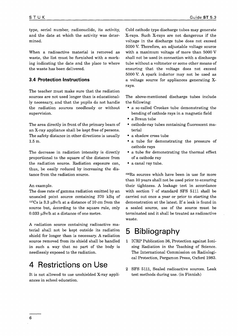type, serial number, radionuclide, its activity, and the date at which the activity was determined.

When a radioactive material is removed as waste, the list must be furnished with a marking indicating the date and the place to where the waste has been delivered.

#### **3.4 Protection Instructions**

The teacher must make sure that the radiation sources are not used longer than is educationally necessary, and that the pupils do not handle the radiation sources needlessly or without supervision.

The area directly in front of the primary beam of an X-ray appliance shall be kept free of persons. The safety distance in other directions is usually 1.5 m.

The decrease in radiation intensity is directly proportional to the square of the distance from the radiation source. Radiation exposure can, thus, be easily reduced by increasing the distance from the radiation source.

#### An example.

The dose rate of gamma radiation emitted by an unsealed point source containing 370 kBq of  $137Cs$  is 3.3  $\mu$ Sv/h at a distance of 10 cm from the source but, according to the square rule, only  $0.033$   $\mu$ Sv/h at a distance of one metre.

A radiation source containing radioactive material shall not be kept outside its radiation shield for longer than is necessary. A radiation source removed from its shield shall be handled in such a way that no part of the body is needlessly exposed to the radiation.

# 4 Restrictions on Use

It is not allowed to use unshielded X-ray appliances in school education.

Cold cathode type discharge tubes may generate X-rays. Such X-rays are not dangerous if the voltage in the discharge tube does not exceed 5000 V. Therefore, an adjustable voltage source with a maximum voltage of more than 5000 V shall not be used in connection with a discharge tube without a voltmeter or some other means of ensuring that the voltage does not exceed 5000 V. A spark inductor may not be used as a voltage source for appliances generating Xrays.

The above-mentioned discharge tubes include the following:

- a so-called Crookes tube demonstrating the bending of cathode rays in a magnetic field
- a Braun tube
- cathode-ray tubes containing fluorescent material
- a shadow cross tube
- a tube for demonstrating the pressure of cathode rays
- a tube for demonstrating the thermal effect of a cathode ray
- a canal ray tube.

<sup>226</sup>Ra sources which have been in use for more than 10 years shall not be used prior to ensuring their tightness. A leakage test in accordance with section 7 of standard SFS 5111 shall be carried out once a year or prior to starting the demonstration at the latest. If a leak is found in a sealed source, use of the source must be terminated and it shall be treated as radioactive waste.

### 5 Bibliography

- 1 ICRP Publication 36, Protection against Ionising Radiation in the Teaching of Science. The International Commission on Radiological Protection, Pergamon Press, Oxford 1983.
- 2 SFS 5111, Sealed radioactive sources. Leak test methods during use. (in Finnish)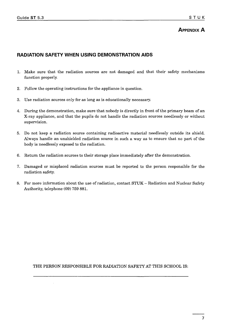### **APPENDIX A**

#### **RADIATION SAFETY WHEN USING DEMONSTRATION AIDS**

- 1. Make sure that the radiation sources are not damaged and that their safety mechanisms function properly.
- 2. Follow the operating instructions for the appliance in question.
- 3. Use radiation sources only for as long as is educationally necessary.
- 4. During the demonstration, make sure that nobody is directly in front of the primary beam of an X-ray appliance, and that the pupils do not handle the radiation sources needlessly or without supervision.
- 5. Do not keep a radiation source containing radioactive material needlessly outside its shield. Always handle an unshielded radiation source in such a way as to ensure that no part of the body is needlessly exposed to the radiation.
- 6. Return the radiation sources to their storage place immediately after the demonstration.
- 7. Damaged or misplaced radiation sources must be reported to the person responsible for the radiation safety.
- 8. For more information about the use of radiation, contact STUK Radiation and Nuclear Safety Authority, telephone (09) 759 881.

THE PERSON RESPONSIBLE FOR RADIATION SAFETY AT THIS SCHOOL IS: